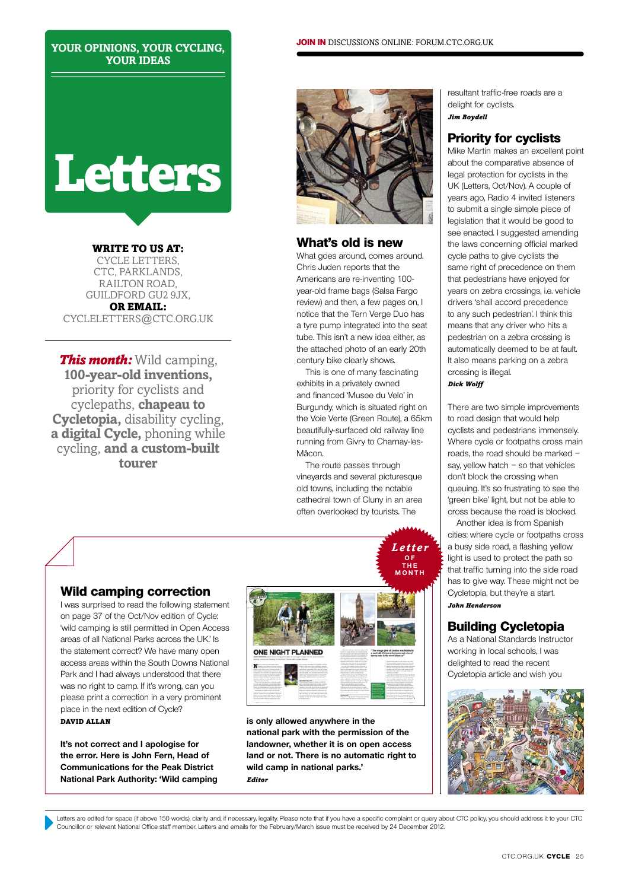#### **your opinions, your cycling, your ideas**

# **Letters**

WRITE TO US AT: cycle letters, CTC, PARKLANDS, railton road, guildford gu2 9jx, or email: cycleletters@ctc.Org.Uk

*This month:* Wild camping, **100-year-old inventions,** priority for cyclists and cyclepaths, **chapeau to Cycletopia,** disability cycling, **a digital Cycle,** phoning while cycling, **and a custom-built tourer**



# **What's old is new**

What goes around, comes around. Chris Juden reports that the Americans are re-inventing 100 year-old frame bags (Salsa Fargo review) and then, a few pages on, I notice that the Tern Verge Duo has a tyre pump integrated into the seat tube. This isn't a new idea either, as the attached photo of an early 20th century bike clearly shows.

This is one of many fascinating exhibits in a privately owned and financed 'Musee du Velo' in Burgundy, which is situated right on the Voie Verte (Green Route), a 65km beautifully-surfaced old railway line running from Givry to Charnay-les-Mâcon.

The route passes through vineyards and several picturesque old towns, including the notable cathedral town of Cluny in an area often overlooked by tourists. The

*Letter*



# **Priority for cyclists**

Mike Martin makes an excellent point about the comparative absence of legal protection for cyclists in the UK (Letters, Oct/Nov). A couple of years ago, Radio 4 invited listeners to submit a single simple piece of legislation that it would be good to see enacted. I suggested amending the laws concerning official marked cycle paths to give cyclists the same right of precedence on them that pedestrians have enjoyed for years on zebra crossings, i.e. vehicle drivers 'shall accord precedence to any such pedestrian'. I think this means that any driver who hits a pedestrian on a zebra crossing is automatically deemed to be at fault. It also means parking on a zebra crossing is illegal.

*Dick Wolff*

There are two simple improvements to road design that would help cyclists and pedestrians immensely. Where cycle or footpaths cross main roads, the road should be marked – say, yellow hatch  $-$  so that vehicles don't block the crossing when queuing. It's so frustrating to see the 'green bike' light, but not be able to cross because the road is blocked.

Another idea is from Spanish cities: where cycle or footpaths cross a busy side road, a flashing yellow light is used to protect the path so that traffic turning into the side road has to give way. These might not be Cycletopia, but they're a start. *John Henderson*

# **Building Cycletopia**

As a National Standards Instructor working in local schools, I was delighted to read the recent Cycletopia article and wish you



# **Wild camping correction**

I was surprised to read the following statement on page 37 of the Oct/Nov edition of Cycle: 'wild camping is still permitted in Open Access areas of all National Parks across the UK.' Is the statement correct? We have many open access areas within the South Downs National Park and I had always understood that there was no right to camp. If it's wrong, can you please print a correction in a very prominent place in the next edition of Cycle? David Allan

**It's not correct and I apologise for the error. Here is John Fern, Head of Communications for the Peak District National Park Authority: 'Wild camping** 



**is only allowed anywhere in the national park with the permission of the landowner, whether it is on open access land or not. There is no automatic right to wild camp in national parks.'** *Editor*

Letters are edited for space (if above 150 words), clarity and, if necessary, legality. Please note that if you have a specific complaint or query about CTC policy, you should address it to your CTC Councillor or relevant national office staff member. Letters and emails for the February/March issue must be received by 24 December 2012.